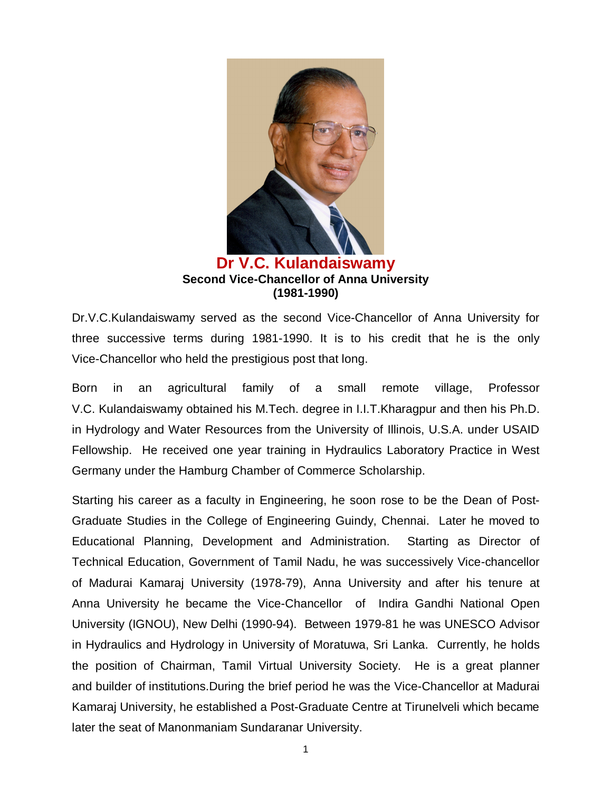

## **Dr V.C. Kulandaiswamy Second Vice-Chancellor of Anna University (1981-1990)**

Dr.V.C.Kulandaiswamy served as the second Vice-Chancellor of Anna University for three successive terms during 1981-1990. It is to his credit that he is the only Vice-Chancellor who held the prestigious post that long.

Born in an agricultural family of a small remote village, Professor V.C. Kulandaiswamy obtained his M.Tech. degree in I.I.T.Kharagpur and then his Ph.D. in Hydrology and Water Resources from the University of Illinois, U.S.A. under USAID Fellowship. He received one year training in Hydraulics Laboratory Practice in West Germany under the Hamburg Chamber of Commerce Scholarship.

Starting his career as a faculty in Engineering, he soon rose to be the Dean of Post-Graduate Studies in the College of Engineering Guindy, Chennai. Later he moved to Educational Planning, Development and Administration. Starting as Director of Technical Education, Government of Tamil Nadu, he was successively Vice-chancellor of Madurai Kamaraj University (1978-79), Anna University and after his tenure at Anna University he became the Vice-Chancellor of Indira Gandhi National Open University (IGNOU), New Delhi (1990-94). Between 1979-81 he was UNESCO Advisor in Hydraulics and Hydrology in University of Moratuwa, Sri Lanka. Currently, he holds the position of Chairman, Tamil Virtual University Society. He is a great planner and builder of institutions.During the brief period he was the Vice-Chancellor at Madurai Kamaraj University, he established a Post-Graduate Centre at Tirunelveli which became later the seat of Manonmaniam Sundaranar University.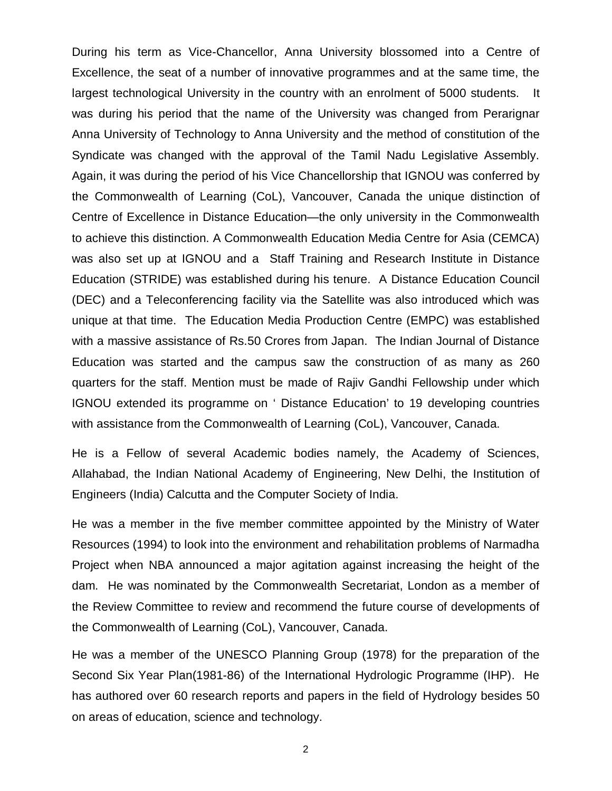During his term as Vice-Chancellor, Anna University blossomed into a Centre of Excellence, the seat of a number of innovative programmes and at the same time, the largest technological University in the country with an enrolment of 5000 students. It was during his period that the name of the University was changed from Perarignar Anna University of Technology to Anna University and the method of constitution of the Syndicate was changed with the approval of the Tamil Nadu Legislative Assembly. Again, it was during the period of his Vice Chancellorship that IGNOU was conferred by the Commonwealth of Learning (CoL), Vancouver, Canada the unique distinction of Centre of Excellence in Distance Education—the only university in the Commonwealth to achieve this distinction. A Commonwealth Education Media Centre for Asia (CEMCA) was also set up at IGNOU and a Staff Training and Research Institute in Distance Education (STRIDE) was established during his tenure. A Distance Education Council (DEC) and a Teleconferencing facility via the Satellite was also introduced which was unique at that time. The Education Media Production Centre (EMPC) was established with a massive assistance of Rs.50 Crores from Japan. The Indian Journal of Distance Education was started and the campus saw the construction of as many as 260 quarters for the staff. Mention must be made of Rajiv Gandhi Fellowship under which IGNOU extended its programme on ' Distance Education' to 19 developing countries with assistance from the Commonwealth of Learning (CoL), Vancouver, Canada.

He is a Fellow of several Academic bodies namely, the Academy of Sciences, Allahabad, the Indian National Academy of Engineering, New Delhi, the Institution of Engineers (India) Calcutta and the Computer Society of India.

He was a member in the five member committee appointed by the Ministry of Water Resources (1994) to look into the environment and rehabilitation problems of Narmadha Project when NBA announced a major agitation against increasing the height of the dam. He was nominated by the Commonwealth Secretariat, London as a member of the Review Committee to review and recommend the future course of developments of the Commonwealth of Learning (CoL), Vancouver, Canada.

He was a member of the UNESCO Planning Group (1978) for the preparation of the Second Six Year Plan(1981-86) of the International Hydrologic Programme (IHP). He has authored over 60 research reports and papers in the field of Hydrology besides 50 on areas of education, science and technology.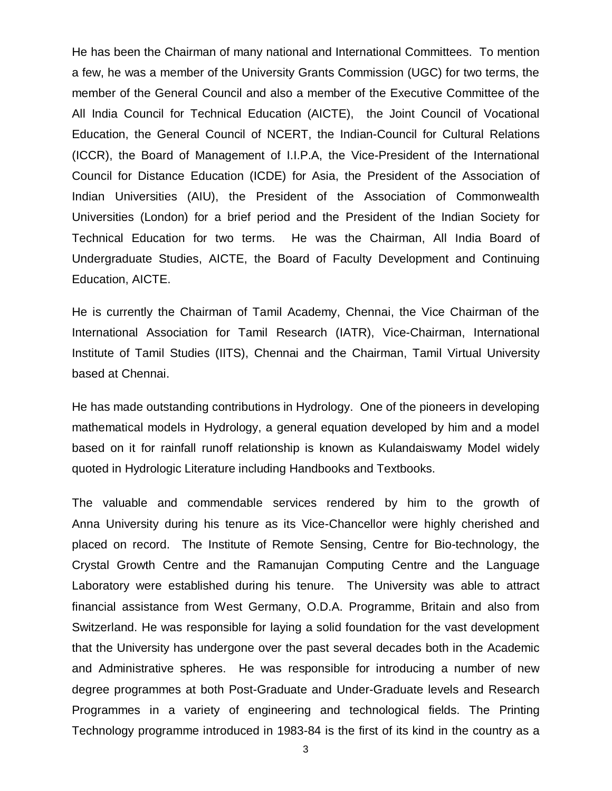He has been the Chairman of many national and International Committees. To mention a few, he was a member of the University Grants Commission (UGC) for two terms, the member of the General Council and also a member of the Executive Committee of the All India Council for Technical Education (AICTE), the Joint Council of Vocational Education, the General Council of NCERT, the Indian-Council for Cultural Relations (ICCR), the Board of Management of I.I.P.A, the Vice-President of the International Council for Distance Education (ICDE) for Asia, the President of the Association of Indian Universities (AIU), the President of the Association of Commonwealth Universities (London) for a brief period and the President of the Indian Society for Technical Education for two terms. He was the Chairman, All India Board of Undergraduate Studies, AICTE, the Board of Faculty Development and Continuing Education, AICTE.

He is currently the Chairman of Tamil Academy, Chennai, the Vice Chairman of the International Association for Tamil Research (IATR), Vice-Chairman, International Institute of Tamil Studies (IITS), Chennai and the Chairman, Tamil Virtual University based at Chennai.

He has made outstanding contributions in Hydrology. One of the pioneers in developing mathematical models in Hydrology, a general equation developed by him and a model based on it for rainfall runoff relationship is known as Kulandaiswamy Model widely quoted in Hydrologic Literature including Handbooks and Textbooks.

The valuable and commendable services rendered by him to the growth of Anna University during his tenure as its Vice-Chancellor were highly cherished and placed on record. The Institute of Remote Sensing, Centre for Bio-technology, the Crystal Growth Centre and the Ramanujan Computing Centre and the Language Laboratory were established during his tenure. The University was able to attract financial assistance from West Germany, O.D.A. Programme, Britain and also from Switzerland. He was responsible for laying a solid foundation for the vast development that the University has undergone over the past several decades both in the Academic and Administrative spheres. He was responsible for introducing a number of new degree programmes at both Post-Graduate and Under-Graduate levels and Research Programmes in a variety of engineering and technological fields. The Printing Technology programme introduced in 1983-84 is the first of its kind in the country as a

3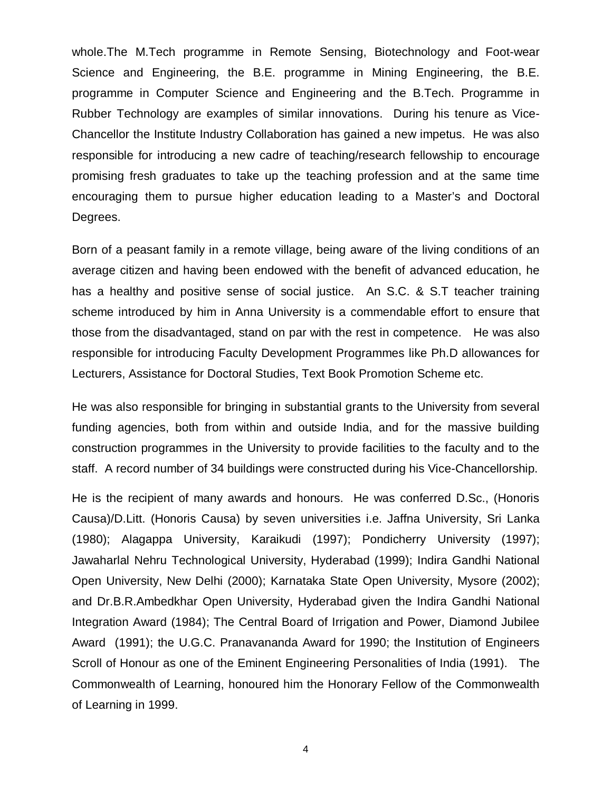whole.The M.Tech programme in Remote Sensing, Biotechnology and Foot-wear Science and Engineering, the B.E. programme in Mining Engineering, the B.E. programme in Computer Science and Engineering and the B.Tech. Programme in Rubber Technology are examples of similar innovations. During his tenure as Vice-Chancellor the Institute Industry Collaboration has gained a new impetus. He was also responsible for introducing a new cadre of teaching/research fellowship to encourage promising fresh graduates to take up the teaching profession and at the same time encouraging them to pursue higher education leading to a Master's and Doctoral Degrees.

Born of a peasant family in a remote village, being aware of the living conditions of an average citizen and having been endowed with the benefit of advanced education, he has a healthy and positive sense of social justice. An S.C. & S.T teacher training scheme introduced by him in Anna University is a commendable effort to ensure that those from the disadvantaged, stand on par with the rest in competence. He was also responsible for introducing Faculty Development Programmes like Ph.D allowances for Lecturers, Assistance for Doctoral Studies, Text Book Promotion Scheme etc.

He was also responsible for bringing in substantial grants to the University from several funding agencies, both from within and outside India, and for the massive building construction programmes in the University to provide facilities to the faculty and to the staff. A record number of 34 buildings were constructed during his Vice-Chancellorship.

He is the recipient of many awards and honours. He was conferred D.Sc., (Honoris Causa)/D.Litt. (Honoris Causa) by seven universities i.e. Jaffna University, Sri Lanka (1980); Alagappa University, Karaikudi (1997); Pondicherry University (1997); Jawaharlal Nehru Technological University, Hyderabad (1999); Indira Gandhi National Open University, New Delhi (2000); Karnataka State Open University, Mysore (2002); and Dr.B.R.Ambedkhar Open University, Hyderabad given the Indira Gandhi National Integration Award (1984); The Central Board of Irrigation and Power, Diamond Jubilee Award (1991); the U.G.C. Pranavananda Award for 1990; the Institution of Engineers Scroll of Honour as one of the Eminent Engineering Personalities of India (1991). The Commonwealth of Learning, honoured him the Honorary Fellow of the Commonwealth of Learning in 1999.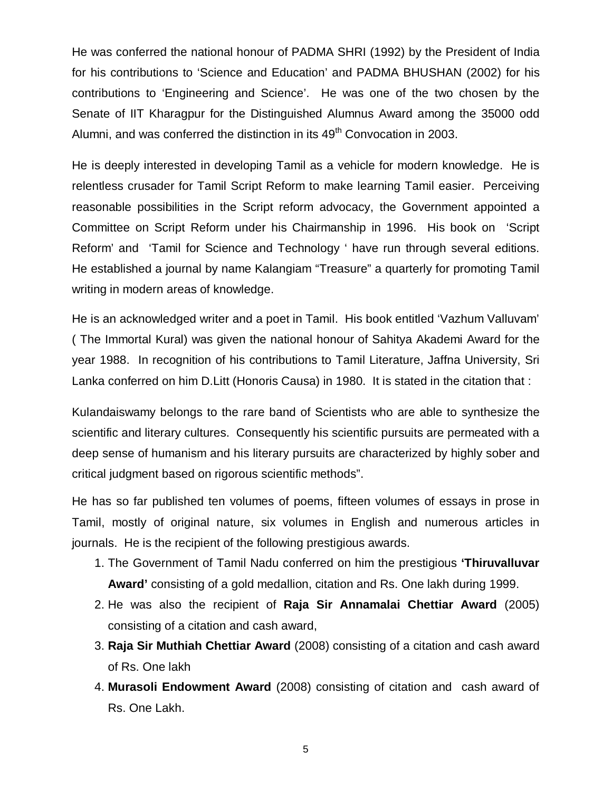He was conferred the national honour of PADMA SHRI (1992) by the President of India for his contributions to 'Science and Education' and PADMA BHUSHAN (2002) for his contributions to 'Engineering and Science'. He was one of the two chosen by the Senate of IIT Kharagpur for the Distinguished Alumnus Award among the 35000 odd Alumni, and was conferred the distinction in its  $49<sup>th</sup>$  Convocation in 2003.

He is deeply interested in developing Tamil as a vehicle for modern knowledge. He is relentless crusader for Tamil Script Reform to make learning Tamil easier. Perceiving reasonable possibilities in the Script reform advocacy, the Government appointed a Committee on Script Reform under his Chairmanship in 1996. His book on 'Script Reform' and 'Tamil for Science and Technology ' have run through several editions. He established a journal by name Kalangiam "Treasure" a quarterly for promoting Tamil writing in modern areas of knowledge.

He is an acknowledged writer and a poet in Tamil. His book entitled 'Vazhum Valluvam' ( The Immortal Kural) was given the national honour of Sahitya Akademi Award for the year 1988. In recognition of his contributions to Tamil Literature, Jaffna University, Sri Lanka conferred on him D.Litt (Honoris Causa) in 1980. It is stated in the citation that :

Kulandaiswamy belongs to the rare band of Scientists who are able to synthesize the scientific and literary cultures. Consequently his scientific pursuits are permeated with a deep sense of humanism and his literary pursuits are characterized by highly sober and critical judgment based on rigorous scientific methods".

He has so far published ten volumes of poems, fifteen volumes of essays in prose in Tamil, mostly of original nature, six volumes in English and numerous articles in journals. He is the recipient of the following prestigious awards.

- 1. The Government of Tamil Nadu conferred on him the prestigious **'Thiruvalluvar Award'** consisting of a gold medallion, citation and Rs. One lakh during 1999.
- 2. He was also the recipient of **Raja Sir Annamalai Chettiar Award** (2005) consisting of a citation and cash award,
- 3. **Raja Sir Muthiah Chettiar Award** (2008) consisting of a citation and cash award of Rs. One lakh
- 4. **Murasoli Endowment Award** (2008) consisting of citation and cash award of Rs. One Lakh.